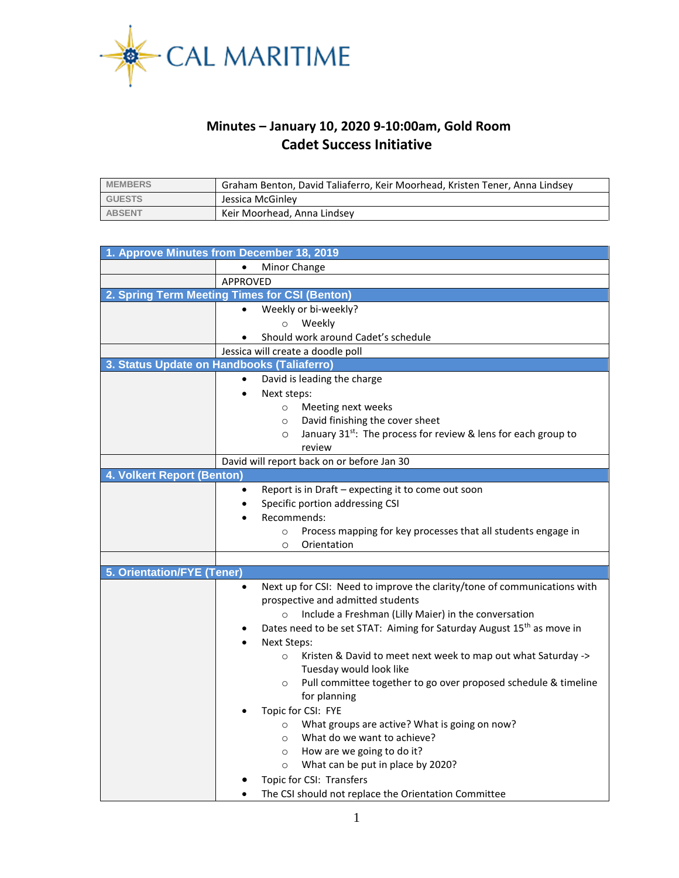

## **Minutes – January 10, 2020 9-10:00am, Gold Room Cadet Success Initiative**

| <b>MEMBERS</b> | Graham Benton, David Taliaferro, Keir Moorhead, Kristen Tener, Anna Lindsey |
|----------------|-----------------------------------------------------------------------------|
| <b>GUESTS</b>  | Jessica McGinley                                                            |
| <b>ABSENT</b>  | Keir Moorhead, Anna Lindsey                                                 |

| 1. Approve Minutes from December 18, 2019            |                                                                                        |  |  |  |
|------------------------------------------------------|----------------------------------------------------------------------------------------|--|--|--|
| Minor Change                                         |                                                                                        |  |  |  |
|                                                      | <b>APPROVED</b>                                                                        |  |  |  |
| 2. Spring Term Meeting Times for CSI (Benton)        |                                                                                        |  |  |  |
|                                                      | Weekly or bi-weekly?                                                                   |  |  |  |
|                                                      | Weekly<br>$\circ$                                                                      |  |  |  |
|                                                      | Should work around Cadet's schedule                                                    |  |  |  |
|                                                      | Jessica will create a doodle poll                                                      |  |  |  |
| 3. Status Update on Handbooks (Taliaferro)           |                                                                                        |  |  |  |
|                                                      | David is leading the charge<br>$\bullet$                                               |  |  |  |
|                                                      | Next steps:                                                                            |  |  |  |
|                                                      | Meeting next weeks<br>$\circ$                                                          |  |  |  |
|                                                      | David finishing the cover sheet<br>$\circ$                                             |  |  |  |
|                                                      | January 31 <sup>st</sup> : The process for review & lens for each group to<br>$\circ$  |  |  |  |
|                                                      | review                                                                                 |  |  |  |
|                                                      | David will report back on or before Jan 30                                             |  |  |  |
| 4. Volkert Report (Benton)                           |                                                                                        |  |  |  |
|                                                      | Report is in Draft - expecting it to come out soon<br>$\bullet$                        |  |  |  |
|                                                      | Specific portion addressing CSI<br>٠                                                   |  |  |  |
|                                                      | Recommends:<br>$\bullet$                                                               |  |  |  |
|                                                      | Process mapping for key processes that all students engage in<br>$\Omega$              |  |  |  |
|                                                      | Orientation<br>$\circ$                                                                 |  |  |  |
|                                                      |                                                                                        |  |  |  |
| 5. Orientation/FYE (Tener)                           |                                                                                        |  |  |  |
|                                                      | Next up for CSI: Need to improve the clarity/tone of communications with<br>$\bullet$  |  |  |  |
|                                                      | prospective and admitted students                                                      |  |  |  |
|                                                      | Include a Freshman (Lilly Maier) in the conversation<br>$\circ$                        |  |  |  |
|                                                      | Dates need to be set STAT: Aiming for Saturday August 15 <sup>th</sup> as move in<br>٠ |  |  |  |
|                                                      | Next Steps:                                                                            |  |  |  |
|                                                      | Kristen & David to meet next week to map out what Saturday -><br>$\circ$               |  |  |  |
|                                                      | Tuesday would look like                                                                |  |  |  |
|                                                      | Pull committee together to go over proposed schedule & timeline<br>$\circ$             |  |  |  |
|                                                      | for planning                                                                           |  |  |  |
|                                                      | Topic for CSI: FYE                                                                     |  |  |  |
|                                                      | What groups are active? What is going on now?<br>$\circ$                               |  |  |  |
|                                                      | What do we want to achieve?<br>$\circ$                                                 |  |  |  |
|                                                      | How are we going to do it?<br>$\circ$                                                  |  |  |  |
|                                                      | What can be put in place by 2020?<br>$\circ$                                           |  |  |  |
|                                                      | Topic for CSI: Transfers                                                               |  |  |  |
| The CSI should not replace the Orientation Committee |                                                                                        |  |  |  |